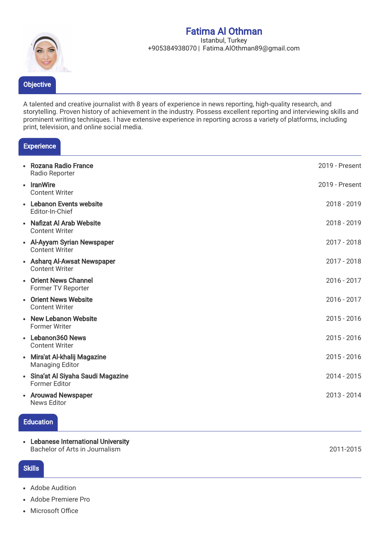# Fatima Al Othman



#### Istanbul, Turkey +905384938070 | Fatima.AlOthman89@gmail.com

A talented and creative journalist with 8 years of experience in news reporting, high-quality research, and storytelling. Proven history of achievement in the industry. Possess excellent reporting and interviewing skills and prominent writing techniques. I have extensive experience in reporting across a variety of platforms, including print, television, and online social media.

## **Experience**

| • Rozana Radio France<br>Radio Reporter                    | 2019 - Present |
|------------------------------------------------------------|----------------|
| • IranWire<br><b>Content Writer</b>                        | 2019 - Present |
| • Lebanon Events website<br>Editor-In-Chief                | 2018 - 2019    |
| • Nafizat Al Arab Website<br><b>Content Writer</b>         | 2018 - 2019    |
| • Al-Ayyam Syrian Newspaper<br><b>Content Writer</b>       | $2017 - 2018$  |
| • Asharg Al-Awsat Newspaper<br><b>Content Writer</b>       | $2017 - 2018$  |
| • Orient News Channel<br>Former TV Reporter                | 2016 - 2017    |
| • Orient News Website<br><b>Content Writer</b>             | $2016 - 2017$  |
| • New Lebanon Website<br><b>Former Writer</b>              | $2015 - 2016$  |
| • Lebanon360 News<br><b>Content Writer</b>                 | $2015 - 2016$  |
| • Mira'at Al-khalij Magazine<br><b>Managing Editor</b>     | $2015 - 2016$  |
| • Sina'at Al Siyaha Saudi Magazine<br><b>Former Editor</b> | 2014 - 2015    |
| • Arouwad Newspaper<br><b>News Editor</b>                  | 2013 - 2014    |

#### **Education**

Lebanese International University Bachelor of Arts in Journalism

#### **Skills**

- Adobe Audition
- Adobe Premiere Pro
- Microsoft Office

2011-2015